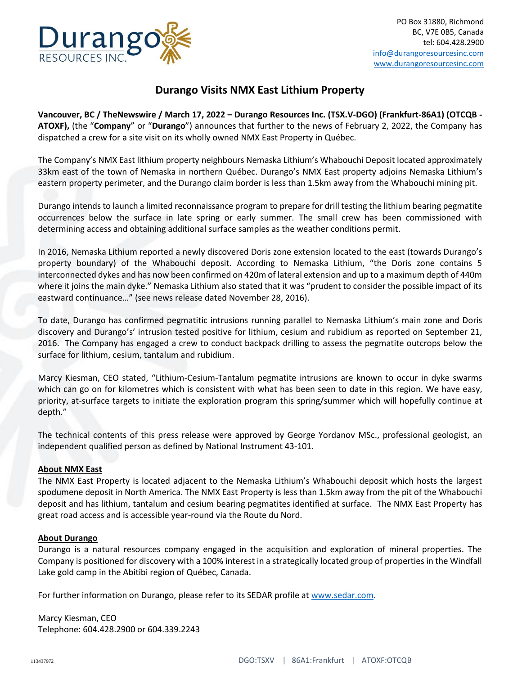

## **Durango Visits NMX East Lithium Property**

**Vancouver, BC / TheNewswire / March 17, 2022 – Durango Resources Inc. (TSX.V-DGO) (Frankfurt-86A1) (OTCQB - ATOXF),** (the "**Company**" or "**Durango**") announces that further to the news of February 2, 2022, the Company has dispatched a crew for a site visit on its wholly owned NMX East Property in Québec.

The Company's NMX East lithium property neighbours Nemaska Lithium's Whabouchi Deposit located approximately 33km east of the town of Nemaska in northern Québec. Durango's NMX East property adjoins Nemaska Lithium's eastern property perimeter, and the Durango claim border is less than 1.5km away from the Whabouchi mining pit.

Durango intends to launch a limited reconnaissance program to prepare for drill testing the lithium bearing pegmatite occurrences below the surface in late spring or early summer. The small crew has been commissioned with determining access and obtaining additional surface samples as the weather conditions permit.

In 2016, Nemaska Lithium reported a newly discovered Doris zone extension located to the east (towards Durango's property boundary) of the Whabouchi deposit. According to Nemaska Lithium, "the Doris zone contains 5 interconnected dykes and has now been confirmed on 420m of lateral extension and up to a maximum depth of 440m where it joins the main dyke." Nemaska Lithium also stated that it was "prudent to consider the possible impact of its eastward continuance…" (see news release dated November 28, 2016).

To date, Durango has confirmed pegmatitic intrusions running parallel to Nemaska Lithium's main zone and Doris discovery and Durango's' intrusion tested positive for lithium, cesium and rubidium as reported on September 21, 2016. The Company has engaged a crew to conduct backpack drilling to assess the pegmatite outcrops below the surface for lithium, cesium, tantalum and rubidium.

Marcy Kiesman, CEO stated, "Lithium-Cesium-Tantalum pegmatite intrusions are known to occur in dyke swarms which can go on for kilometres which is consistent with what has been seen to date in this region. We have easy, priority, at-surface targets to initiate the exploration program this spring/summer which will hopefully continue at depth."

The technical contents of this press release were approved by George Yordanov MSc., professional geologist, an independent qualified person as defined by National Instrument 43-101.

## **About NMX East**

The NMX East Property is located adjacent to the Nemaska Lithium's Whabouchi deposit which hosts the largest spodumene deposit in North America. The NMX East Property is less than 1.5km away from the pit of the Whabouchi deposit and has lithium, tantalum and cesium bearing pegmatites identified at surface. The NMX East Property has great road access and is accessible year-round via the Route du Nord.

## **About Durango**

Durango is a natural resources company engaged in the acquisition and exploration of mineral properties. The Company is positioned for discovery with a 100% interest in a strategically located group of properties in the Windfall Lake gold camp in the Abitibi region of Québec, Canada.

For further information on Durango, please refer to its SEDAR profile at [www.sedar.com.](http://www.sedar.com/)

Marcy Kiesman, CEO Telephone: 604.428.2900 or 604.339.2243